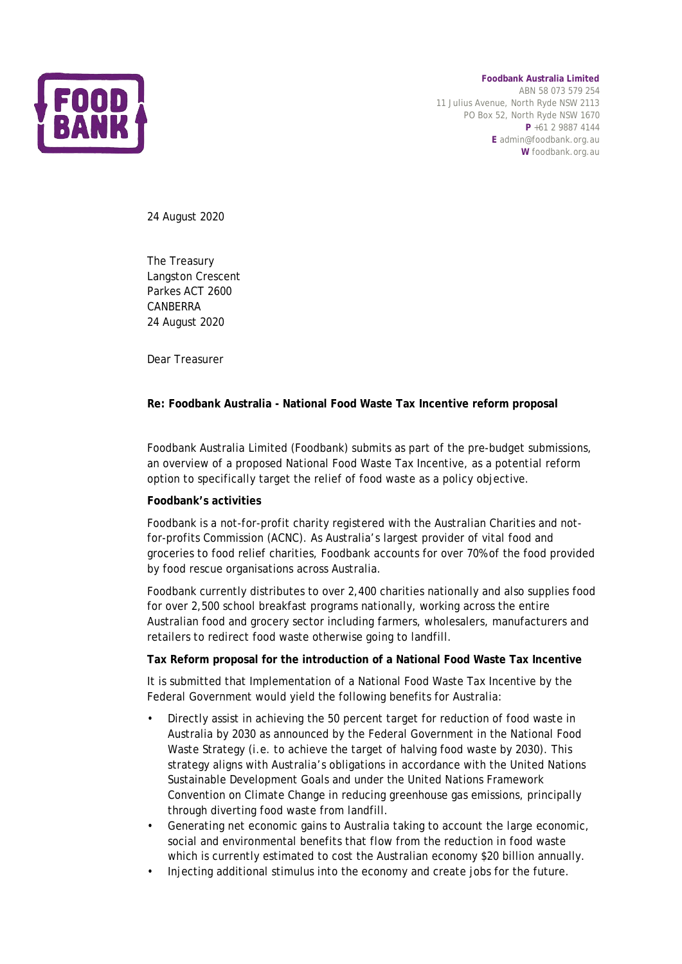

**Foodbank Australia Limited** ABN 58 073 579 254 11 Julius Avenue, North Ryde NSW 2113 PO Box 52, North Ryde NSW 1670 **P** +61 2 9887 4144 **E** admin@foodbank.org.au **W** foodbank.org.au

24 August 2020

The Treasury Langston Crescent Parkes ACT 2600 CANBERRA 24 August 2020

Dear Treasurer

#### **Re: Foodbank Australia - National Food Waste Tax Incentive reform proposal**

Foodbank Australia Limited (Foodbank) submits as part of the pre-budget submissions, an overview of a proposed National Food Waste Tax Incentive, as a potential reform option to specifically target the relief of food waste as a policy objective.

#### **Foodbank's activities**

Foodbank is a not-for-profit charity registered with the Australian Charities and notfor-profits Commission (ACNC). As Australia's largest provider of vital food and groceries to food relief charities, Foodbank accounts for over 70% of the food provided by food rescue organisations across Australia.

Foodbank currently distributes to over 2,400 charities nationally and also supplies food for over 2,500 school breakfast programs nationally, working across the entire Australian food and grocery sector including farmers, wholesalers, manufacturers and retailers to redirect food waste otherwise going to landfill.

#### **Tax Reform proposal for the introduction of a National Food Waste Tax Incentive**

It is submitted that Implementation of a National Food Waste Tax Incentive by the Federal Government would yield the following benefits for Australia:

- Directly assist in achieving the 50 percent target for reduction of food waste in Australia by 2030 as announced by the Federal Government in the National Food Waste Strategy (i.e. to achieve the target of halving food waste by 2030). This strategy aligns with Australia's obligations in accordance with the United Nations Sustainable Development Goals and under the United Nations Framework Convention on Climate Change in reducing greenhouse gas emissions, principally through diverting food waste from landfill.
- Generating net economic gains to Australia taking to account the large economic, social and environmental benefits that flow from the reduction in food waste which is currently estimated to cost the Australian economy \$20 billion annually.
- Injecting additional stimulus into the economy and create jobs for the future.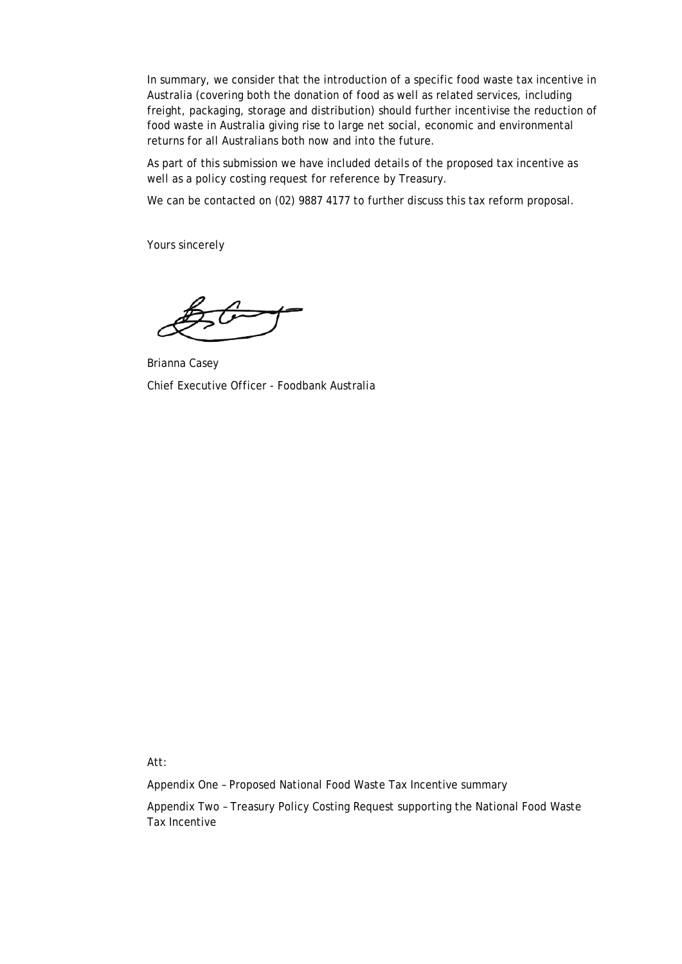In summary, we consider that the introduction of a specific food waste tax incentive in Australia (covering both the donation of food as well as related services, including freight, packaging, storage and distribution) should further incentivise the reduction of food waste in Australia giving rise to large net social, economic and environmental returns for all Australians both now and into the future.

As part of this submission we have included details of the proposed tax incentive as well as a policy costing request for reference by Treasury.

We can be contacted on (02) 9887 4177 to further discuss this tax reform proposal.

Yours sincerely

Brianna Casey Chief Executive Officer - Foodbank Australia

Att:

Appendix One – Proposed National Food Waste Tax Incentive summary

Appendix Two – Treasury Policy Costing Request supporting the National Food Waste Tax Incentive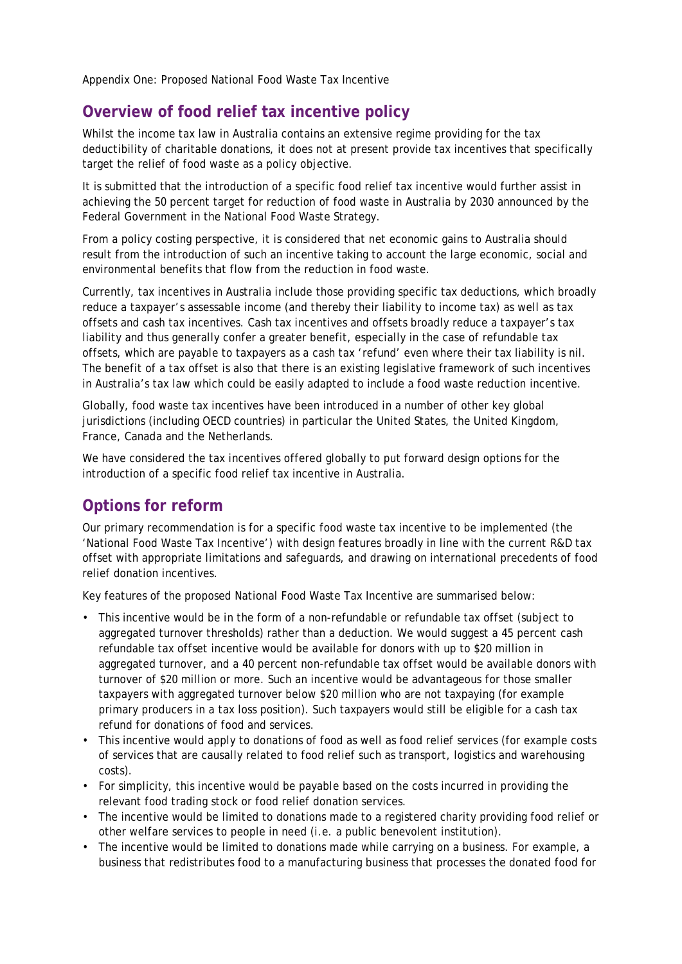Appendix One: Proposed National Food Waste Tax Incentive

### **Overview of food relief tax incentive policy**

Whilst the income tax law in Australia contains an extensive regime providing for the tax deductibility of charitable donations, it does not at present provide tax incentives that specifically target the relief of food waste as a policy objective.

It is submitted that the introduction of a specific food relief tax incentive would further assist in achieving the 50 percent target for reduction of food waste in Australia by 2030 announced by the Federal Government in the National Food Waste Strategy.

From a policy costing perspective, it is considered that net economic gains to Australia should result from the introduction of such an incentive taking to account the large economic, social and environmental benefits that flow from the reduction in food waste.

Currently, tax incentives in Australia include those providing specific tax deductions, which broadly reduce a taxpayer's assessable income (and thereby their liability to income tax) as well as tax offsets and cash tax incentives. Cash tax incentives and offsets broadly reduce a taxpayer's tax liability and thus generally confer a greater benefit, especially in the case of refundable tax offsets, which are payable to taxpayers as a cash tax 'refund' even where their tax liability is nil. The benefit of a tax offset is also that there is an existing legislative framework of such incentives in Australia's tax law which could be easily adapted to include a food waste reduction incentive.

Globally, food waste tax incentives have been introduced in a number of other key global jurisdictions (including OECD countries) in particular the United States, the United Kingdom, France, Canada and the Netherlands.

We have considered the tax incentives offered globally to put forward design options for the introduction of a specific food relief tax incentive in Australia.

## **Options for reform**

Our primary recommendation is for a specific food waste tax incentive to be implemented (the 'National Food Waste Tax Incentive') with design features broadly in line with the current R&D tax offset with appropriate limitations and safeguards, and drawing on international precedents of food relief donation incentives.

Key features of the proposed National Food Waste Tax Incentive are summarised below:

- This incentive would be in the form of a non-refundable or refundable tax offset (subject to aggregated turnover thresholds) rather than a deduction. We would suggest a 45 percent cash refundable tax offset incentive would be available for donors with up to \$20 million in aggregated turnover, and a 40 percent non-refundable tax offset would be available donors with turnover of \$20 million or more. Such an incentive would be advantageous for those smaller taxpayers with aggregated turnover below \$20 million who are not taxpaying (for example primary producers in a tax loss position). Such taxpayers would still be eligible for a cash tax refund for donations of food and services.
- This incentive would apply to donations of food as well as food relief services (for example costs of services that are causally related to food relief such as transport, logistics and warehousing costs).
- For simplicity, this incentive would be payable based on the costs incurred in providing the relevant food trading stock or food relief donation services.
- The incentive would be limited to donations made to a registered charity providing food relief or other welfare services to people in need (i.e. a public benevolent institution).
- The incentive would be limited to donations made while carrying on a business. For example, a business that redistributes food to a manufacturing business that processes the donated food for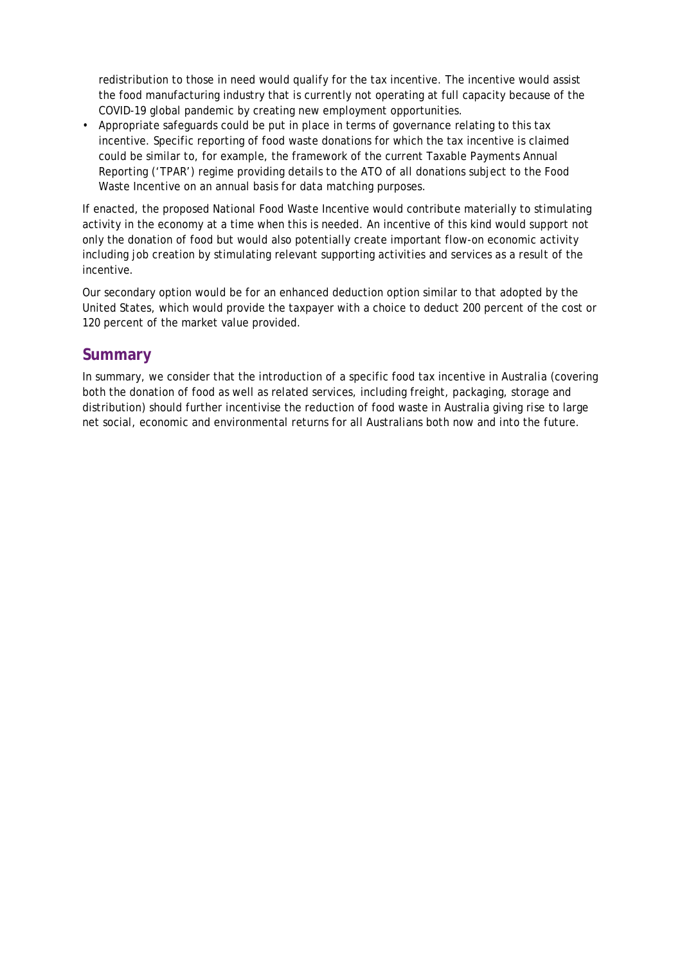redistribution to those in need would qualify for the tax incentive. The incentive would assist the food manufacturing industry that is currently not operating at full capacity because of the COVID-19 global pandemic by creating new employment opportunities.

• Appropriate safeguards could be put in place in terms of governance relating to this tax incentive. Specific reporting of food waste donations for which the tax incentive is claimed could be similar to, for example, the framework of the current Taxable Payments Annual Reporting ('TPAR') regime providing details to the ATO of all donations subject to the Food Waste Incentive on an annual basis for data matching purposes.

If enacted, the proposed National Food Waste Incentive would contribute materially to stimulating activity in the economy at a time when this is needed. An incentive of this kind would support not only the donation of food but would also potentially create important flow-on economic activity including job creation by stimulating relevant supporting activities and services as a result of the incentive.

Our secondary option would be for an enhanced deduction option similar to that adopted by the United States, which would provide the taxpayer with a choice to deduct 200 percent of the cost or 120 percent of the market value provided.

### **Summary**

In summary, we consider that the introduction of a specific food tax incentive in Australia (covering both the donation of food as well as related services, including freight, packaging, storage and distribution) should further incentivise the reduction of food waste in Australia giving rise to large net social, economic and environmental returns for all Australians both now and into the future.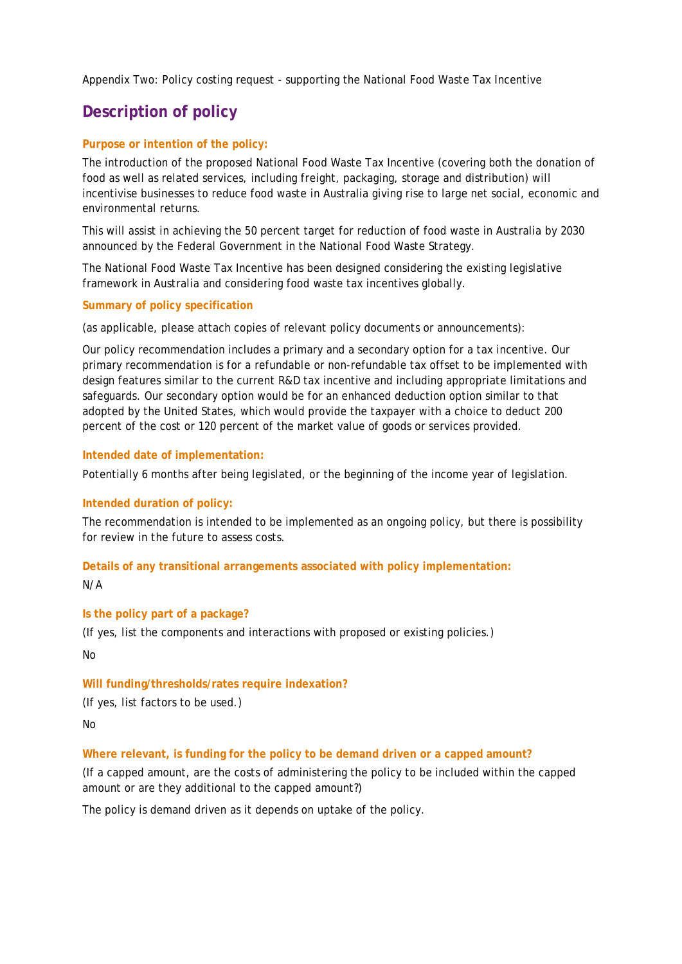Appendix Two: Policy costing request - supporting the National Food Waste Tax Incentive

# **Description of policy**

#### **Purpose or intention of the policy:**

The introduction of the proposed National Food Waste Tax Incentive (covering both the donation of food as well as related services, including freight, packaging, storage and distribution) will incentivise businesses to reduce food waste in Australia giving rise to large net social, economic and environmental returns.

This will assist in achieving the 50 percent target for reduction of food waste in Australia by 2030 announced by the Federal Government in the National Food Waste Strategy.

The National Food Waste Tax Incentive has been designed considering the existing legislative framework in Australia and considering food waste tax incentives globally.

#### **Summary of policy specification**

(as applicable, please attach copies of relevant policy documents or announcements):

Our policy recommendation includes a primary and a secondary option for a tax incentive. Our primary recommendation is for a refundable or non-refundable tax offset to be implemented with design features similar to the current R&D tax incentive and including appropriate limitations and safeguards. Our secondary option would be for an enhanced deduction option similar to that adopted by the United States, which would provide the taxpayer with a choice to deduct 200 percent of the cost or 120 percent of the market value of goods or services provided.

#### **Intended date of implementation:**

Potentially 6 months after being legislated, or the beginning of the income year of legislation.

#### **Intended duration of policy:**

The recommendation is intended to be implemented as an ongoing policy, but there is possibility for review in the future to assess costs.

# **Details of any transitional arrangements associated with policy implementation:**

N/A

#### **Is the policy part of a package?**

(If yes, list the components and interactions with proposed or existing policies.)

No

#### **Will funding/thresholds/rates require indexation?**

(If yes, list factors to be used.)

No

#### **Where relevant, is funding for the policy to be demand driven or a capped amount?**

(If a capped amount, are the costs of administering the policy to be included within the capped amount or are they additional to the capped amount?)

The policy is demand driven as it depends on uptake of the policy.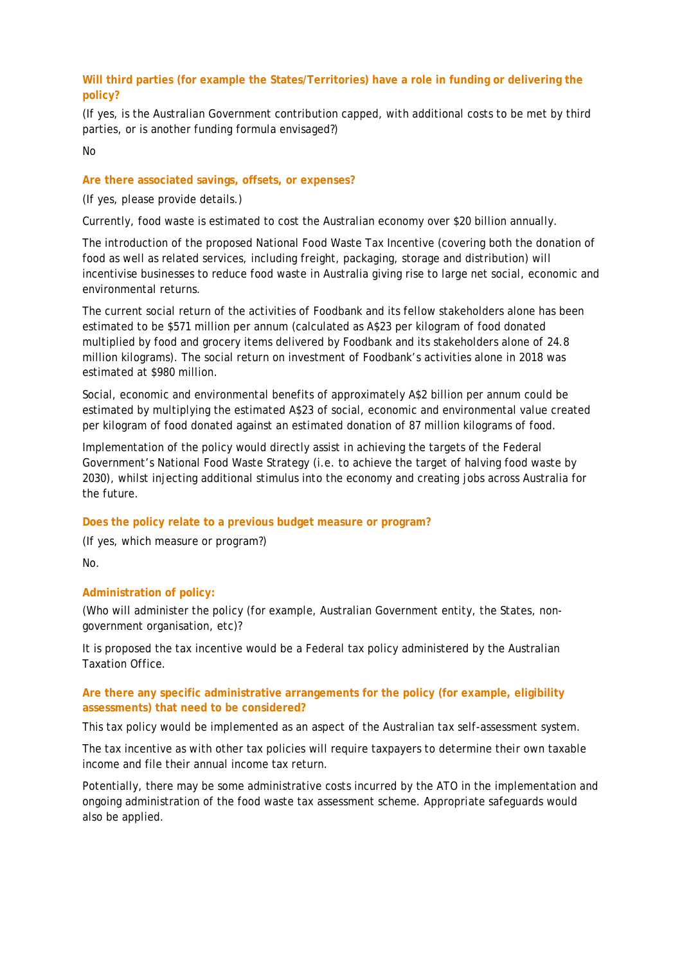#### **Will third parties (for example the States/Territories) have a role in funding or delivering the policy?**

(If yes, is the Australian Government contribution capped, with additional costs to be met by third parties, or is another funding formula envisaged?)

No

#### **Are there associated savings, offsets, or expenses?**

(If yes, please provide details.)

Currently, food waste is estimated to cost the Australian economy over \$20 billion annually.

The introduction of the proposed National Food Waste Tax Incentive (covering both the donation of food as well as related services, including freight, packaging, storage and distribution) will incentivise businesses to reduce food waste in Australia giving rise to large net social, economic and environmental returns.

The current social return of the activities of Foodbank and its fellow stakeholders alone has been estimated to be \$571 million per annum (calculated as A\$23 per kilogram of food donated multiplied by food and grocery items delivered by Foodbank and its stakeholders alone of 24.8 million kilograms). The social return on investment of Foodbank's activities alone in 2018 was estimated at \$980 million.

Social, economic and environmental benefits of approximately A\$2 billion per annum could be estimated by multiplying the estimated A\$23 of social, economic and environmental value created per kilogram of food donated against an estimated donation of 87 million kilograms of food.

Implementation of the policy would directly assist in achieving the targets of the Federal Government's National Food Waste Strategy (i.e. to achieve the target of halving food waste by 2030), whilst injecting additional stimulus into the economy and creating jobs across Australia for the future.

#### **Does the policy relate to a previous budget measure or program?**

(If yes, which measure or program?)

No.

#### **Administration of policy:**

(Who will administer the policy (for example, Australian Government entity, the States, nongovernment organisation, etc)?

It is proposed the tax incentive would be a Federal tax policy administered by the Australian Taxation Office.

#### **Are there any specific administrative arrangements for the policy (for example, eligibility assessments) that need to be considered?**

This tax policy would be implemented as an aspect of the Australian tax self-assessment system.

The tax incentive as with other tax policies will require taxpayers to determine their own taxable income and file their annual income tax return.

Potentially, there may be some administrative costs incurred by the ATO in the implementation and ongoing administration of the food waste tax assessment scheme. Appropriate safeguards would also be applied.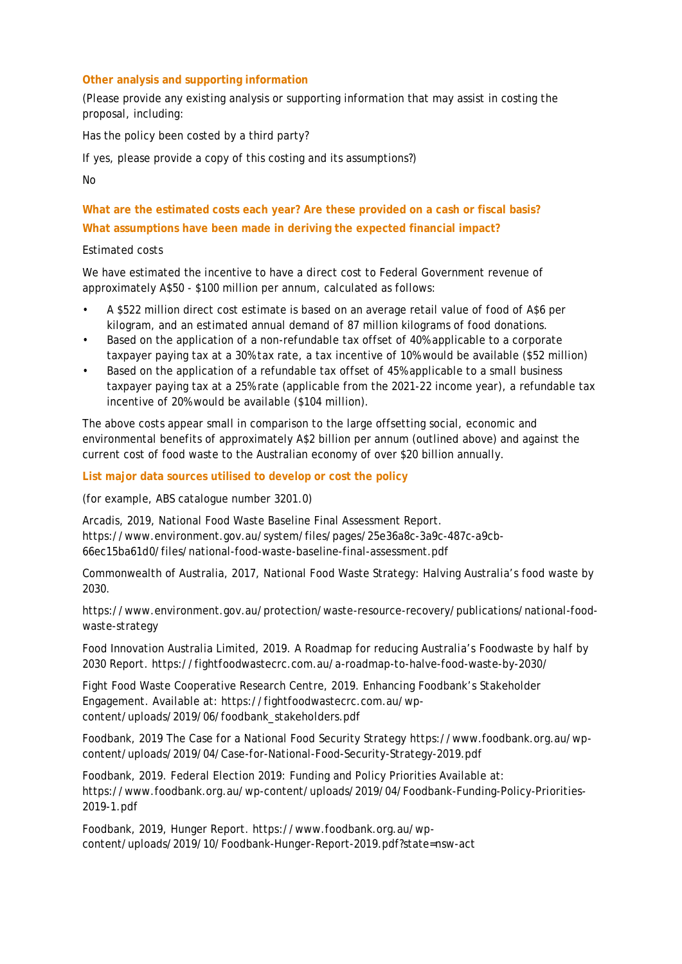#### **Other analysis and supporting information**

(Please provide any existing analysis or supporting information that may assist in costing the proposal, including:

Has the policy been costed by a third party?

If yes, please provide a copy of this costing and its assumptions?)

No

**What are the estimated costs each year? Are these provided on a cash or fiscal basis? What assumptions have been made in deriving the expected financial impact?**

#### Estimated costs

We have estimated the incentive to have a direct cost to Federal Government revenue of approximately A\$50 - \$100 million per annum, calculated as follows:

- A \$522 million direct cost estimate is based on an average retail value of food of A\$6 per kilogram, and an estimated annual demand of 87 million kilograms of food donations.
- Based on the application of a non-refundable tax offset of 40% applicable to a corporate taxpayer paying tax at a 30% tax rate, a tax incentive of 10% would be available (\$52 million)
- Based on the application of a refundable tax offset of 45% applicable to a small business taxpayer paying tax at a 25% rate (applicable from the 2021-22 income year), a refundable tax incentive of 20% would be available (\$104 million).

The above costs appear small in comparison to the large offsetting social, economic and environmental benefits of approximately A\$2 billion per annum (outlined above) and against the current cost of food waste to the Australian economy of over \$20 billion annually.

#### **List major data sources utilised to develop or cost the policy**

(for example, ABS catalogue number 3201.0)

Arcadis, 2019, National Food Waste Baseline Final Assessment Report. https://www.environment.gov.au/system/files/pages/25e36a8c-3a9c-487c-a9cb-66ec15ba61d0/files/national-food-waste-baseline-final-assessment.pdf

Commonwealth of Australia, 2017, National Food Waste Strategy: Halving Australia's food waste by 2030.

https://www.environment.gov.au/protection/waste-resource-recovery/publications/national-foodwaste-strategy

Food Innovation Australia Limited, 2019. A Roadmap for reducing Australia's Foodwaste by half by 2030 Report. https://fightfoodwastecrc.com.au/a-roadmap-to-halve-food-waste-by-2030/

Fight Food Waste Cooperative Research Centre, 2019. Enhancing Foodbank's Stakeholder Engagement. Available at: https://fightfoodwastecrc.com.au/wpcontent/uploads/2019/06/foodbank\_stakeholders.pdf

Foodbank, 2019 The Case for a National Food Security Strategy https://www.foodbank.org.au/wpcontent/uploads/2019/04/Case-for-National-Food-Security-Strategy-2019.pdf

Foodbank, 2019. Federal Election 2019: Funding and Policy Priorities Available at: https://www.foodbank.org.au/wp-content/uploads/2019/04/Foodbank-Funding-Policy-Priorities-2019-1.pdf

Foodbank, 2019, Hunger Report. https://www.foodbank.org.au/wpcontent/uploads/2019/10/Foodbank-Hunger-Report-2019.pdf?state=nsw-act